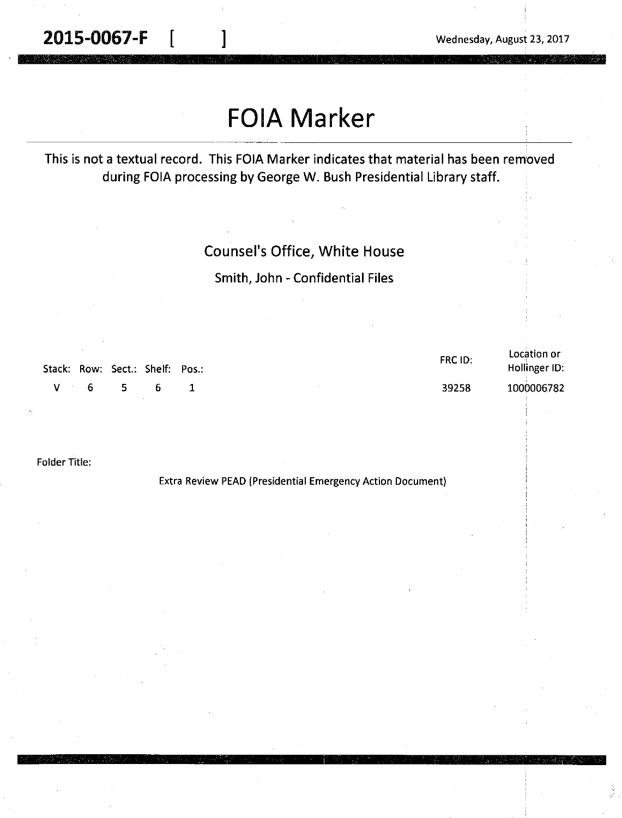**2015-0067-F** [ ] Wednesday, August 23, 2017

Location or

# **FOIA Marker**

#### This is not a textual record. This FOIA Marker indicates that material has been removed during FOIA processing by George W. Bush Presidential Library staff.

#### Counsel's Office, White House

#### Smith, John - Confidential Files

| Stack: Row: Sect.: Shelf: Pos.: |       | FRC ID: | Location or<br>Hollinger ID: |
|---------------------------------|-------|---------|------------------------------|
| $V \cdot 6$ 5                   | - 6 - | 39258   | 1000006782                   |

Folder Title:

Extra Review PEAD (Presidential Emergency Action Document)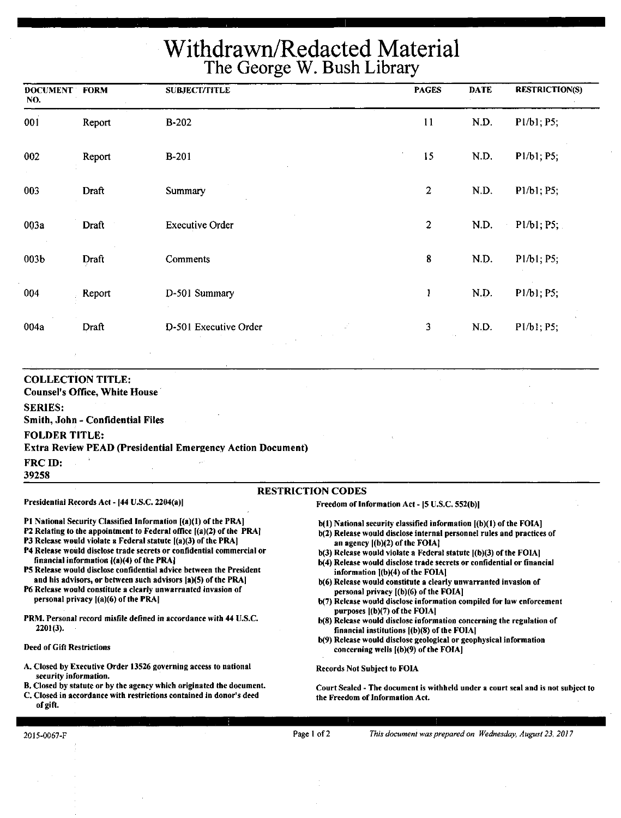# **Withdrawn/Redacted Material The George W. Bush Library**

| <b>DOCUMENT</b><br>NO. | <b>FORM</b> | <b>SUBJECT/TITLE</b>   | <b>PAGES</b>     | <b>DATE</b> | <b>RESTRICTION(S)</b> |
|------------------------|-------------|------------------------|------------------|-------------|-----------------------|
| 001                    | Report      | <b>B-202</b>           | 11               | N.D.        | P1/b1; P5;            |
| 002                    | Report      | <b>B-201</b>           | 15               | N.D.        | P1/b1; P5;            |
| 003                    | Draft       | Summary                | $\boldsymbol{2}$ | N.D.        | P1/b1; P5;            |
| 003a                   | Draft       | <b>Executive Order</b> | $\boldsymbol{2}$ | N.D.        | P1/b1; P5;            |
| 003b                   | Draft       | <b>Comments</b>        | 8                | N.D.        | P1/b1; P5;            |
| 004                    | Report      | D-501 Summary          | $\mathbf{l}$     | N.D.        | P1/b1; P5;            |
| 004a                   | Draft       | D-501 Executive Order  | 3                | N.D.        | P1/b1; P5;            |

**COLLECTION TITLE: Counsel's Office, White House SERIES: Smith, John** - **Confidential Files FOLDER TITLE: Extra Review PEAD (Presidential Emereency Action Document) FRCID: 39258**  RESTRICTION CODES

#### Presidential Records Act - [44 U.S.C. 2204(a)]

Freedom of Information Act - [5 U.S.C. 552(b)]

- P1 National Security Classified Information [(a)(1) of the PRA]
- P2 Relating to the appointment to Federal office [(a)(2) of the PRA]
- P3 Release would violate a Federal statute  $[(a)(3)$  of the PRA]
- P4 Release would disclose trade secrets or confidential commercial or financial information ((a)(4) of the PRAJ
- PS Release would disclose confidential advice between the President and his advisors, or between such advisors (a)(S) of the PRA)
- P6 Release would constitute a clearly unwarranted invasion of personal privacy ((a)(6) of the PRA)
- PRM. Personal record misfile defined in accordance with 44 U.S.C. 2201(3).

#### Deed of Gift Restrictions

- A. Closed by Executive Order 13526 governing access to national security information.
- B. Closed by statute or by the agency which originated the document.
- C. Closed in accordance with restrictions contained in donor's deed of gift.
- b(l) National security classified information ((b)(l) of the FOIAJ b(2) Release would disclose internal personnel rules and practices of an agency  $[(b)(2)$  of the FOIA]
- b(3) Release would violate a Federal statute [(b)(3) of the FOIA]
- b(4) Release would disclose trade secrets or confidential or financial information  $[(b)(4)$  of the FOIA]
- b(6) Release would constitute a clearly unwarranted invasion of personal privacy  $[(b)(6)$  of the FOIA]
- b(7) Release would disclose information compiled for law enforcement purposes [(b)(7) of the FOIA]
- b(8) Release would disclose information concerning the regulation of financial institutions ((b)(8) of the FOIA)
- b(9) Release would disclose geological or geophysical information concerning wells [(b)(9) of the FOIA]

Records Not Subject to FOIA

Court Sealed - The document is withheld under a court seal and is not subject to the Freedom of Information Act.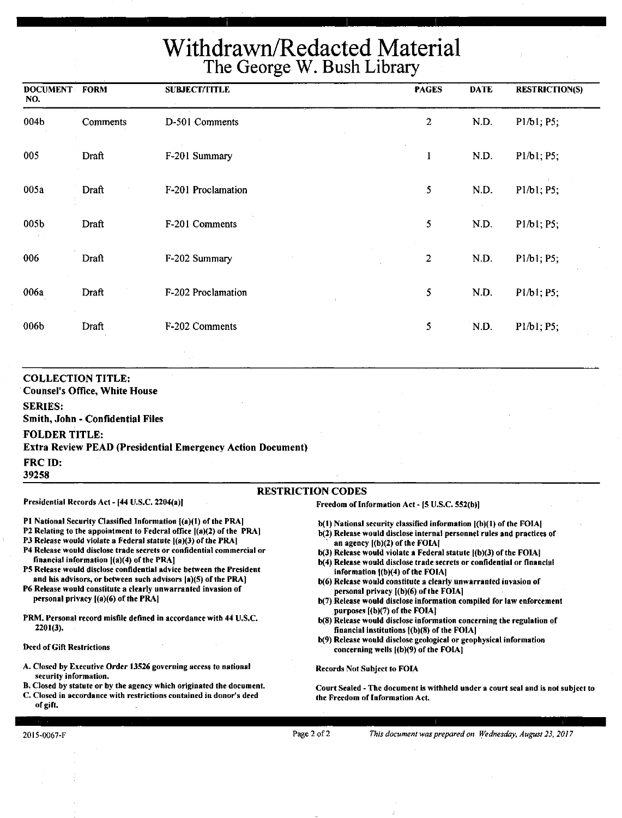# **Withdrawn/Redacted Material The George W. Bush** Library

| <b>DOCUMENT FORM</b><br>NO. |          | <b>SUBJECT/TITLE</b> | <b>PAGES</b>   | <b>DATE</b> | <b>RESTRICTION(S)</b> |
|-----------------------------|----------|----------------------|----------------|-------------|-----------------------|
| 004b                        | Comments | D-501 Comments       | $\overline{c}$ | N.D.        | P1/b1; P5;            |
| 005                         | Draft    | F-201 Summary        | $\mathbf{1}$   | N.D.        | P1/b1; P5;            |
| 005a                        | Draft    | F-201 Proclamation   | 5              | N.D.        | P1/b1; P5;            |
| 005b                        | Draft    | F-201 Comments       | 5              | N.D.        | P1/b1; P5;            |
| 006                         | Draft    | F-202 Summary        | 2              | N.D.        | P1/b1; P5;            |
| 006a                        | Draft    | F-202 Proclamation   | 5              | N.D.        | P1/b1; P5;            |
| 006b                        | Draft    | F-202 Comments       | 5              | ND.         | P1/b1; P5;            |

#### **COLLECTION TITLE:**

· **Counsel's Office, White House** 

**SERIES:** 

**Smith, John** - **Confidential Files** 

Presidential Records Act - [44 U.S.C. 2204(a)]

#### **FOLDER TITLE:**

**Extra Review PEAD (Presidential Emergency Action Document)** 

**FRCID:** 

**39258** 

#### RESTRICTION CODES

Freedom of Information Act- (5 U.S.C. 552(b))

- Pt National Security Classified Information [(a)(l) of the PRAJ
- P2 Relating to the appointment to Federal office  $[(a)(2)$  of the PRA]
- P3 Release would violate a Federal statute [(a)(3) of the PRA]
- P4 Release would disclose trade secrets or confidential commercial or financial information ((a)(4) of the PRA]
- PS Release would disclose confidential advice between the President and his advisors, or between such advisors (a)(S) of the PRA]
- P6 Release would constitute a clearly unwarranted invasion of personal privacy [(a)(6) of the PRA)
- PRM. Personal record misfile defined in accordance with 44 U.S.C. 2201(3),

#### Deed of Gift Restrictions

- A. Closed by Executive Order 13526 governing access to national security information.
- B. Closed by statute or by the agency which originated the document.
- C. Closed in accordance with restrictions contained in donor's deed of gift.
- 
- b(l) National security classified information ((b)(1) of the FOIAJ b(2) Release would disclose internal personnel rules and practices of an agency  $[(b)(2)$  of the FOIA]
- $b(3)$  Release would violate a Federal statute  $(6)(3)$  of the FOIA]
- b(4) Release would disclose trade secrets or confidential or financial information  ${(b)(4)}$  of the FOIA]
- b(6) Release would constitute a clearly unwarranted invasion of personal privacy [(b)(6) of the FOIA[
- b(7) Release would disclose information compiled for law enforcement purposes  $[(b)(7)$  of the FOIA]
- b(S) Release would disclose information concerning the regulation of financial institutions [(b)(8) of the FOIA)
- b(9) Release would disclose geological or geophysical information concerning wells ((b)(9) of the FOIAJ

Records Not Subject to FOIA

Court Sealed -The document is withheld under a court seal and is not subject to the Freedom of Information Act.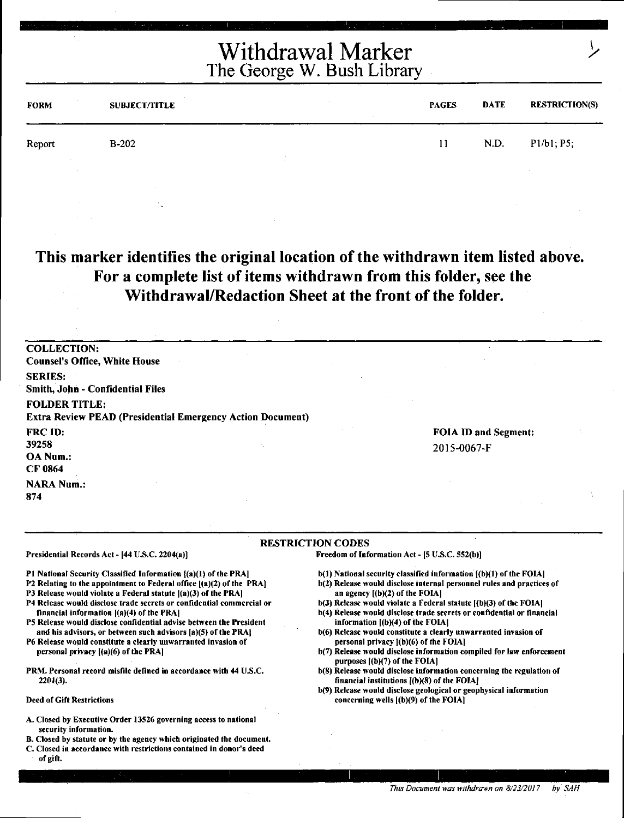| <b>FORM</b> | $\sim 10^{-1}$                           | <b>SUBJECT/TITLE</b> | <b>PAGES</b> | <b>DATE</b> | <b>RESTRICTION(S)</b> |
|-------------|------------------------------------------|----------------------|--------------|-------------|-----------------------|
| Report      | <b>Contractor</b><br><b>State Street</b> | $B-202$<br>$\sim$    | 11           | N.D.        | P1/b1; P5;            |
|             | $\sim$<br>$\sim$                         | $\sim$               |              |             | $\sim$                |

**This marker identifies the original location of the withdrawn item listed above. For a complete list of items withdrawn from this folder, see the Withdrawal/Redaction Sheet at the front of the folder.** 

COLLECTION: Counsel's Office, White House SERIES: Smith, John - Confidential Files FOLDER TITLE: Extra Review PEAD (Presidential Emergency Action Document) FRC ID: 39258 OANum.: CF 0864 **NARA Num.:** FOIA ID and Segment: 2015-0067-F

874

#### RESTRICTION CODES Freedom of Information Act - (S U.S.C. 552(b)]

Presidential Records Act - (44 U.S.C. 2204(a)]

Pl National Security Classified Information ((a)(l) of the PRA)

- P2 Relating to the appointment to Federal office ((a)(2) of the PRA)
- P3 Release would violate a Federal statute  $[(a)(3)$  of the PRA]
- P4 Release would disclose trade secrets or confidential commercial or financial information ((a)(4) of the PRAJ
- PS Release would disclose confidential advise between the President and his advisors, or between such advisors [a)(S) of the PRA)
- P6 Release would constitute a clearly unwarranted invasion of personal privacy ((a)(6) of the PRA)
- PRM. Personal record misfile defined in accordance with 44 U.S.C. 2201(3).
- Deed of Gift Restrictions
- A. Closed by Executive Order 13526 governing access to national security information.
- B. Closed by statute or by the agency which originated the document.
- C. Closed in accordance with restrictions contained in donor's deed of gift.

 $b(1)$  National security classified information  $(6)(1)$  of the FOIA]

- b(2) Release would disclose internal personnel rules and practices of an agency [(b)(2) of the FOIAI
- $b(3)$  Release would violate a Federal statute  $[(b)(3)$  of the FOIA]
- b(4) Release would disclose trade secrets or confidential or financial information  $[(b)(4)$  of the FOIA]
- b(6) Release would constitute a clearly unwarranted invasion of personal privacy l(b)(6) of the FOIAI
- b(7) Release would disclose information compiled for law enforcement purposes ((b)(7) of the FOIAI
- b(8) Release would disclose information concerning the regulation of financial institutions ((b)(8) of the FOIA)
- b(9) Release would disclose geological or geophysical information concerning wells ((b)(9) of the FOIA]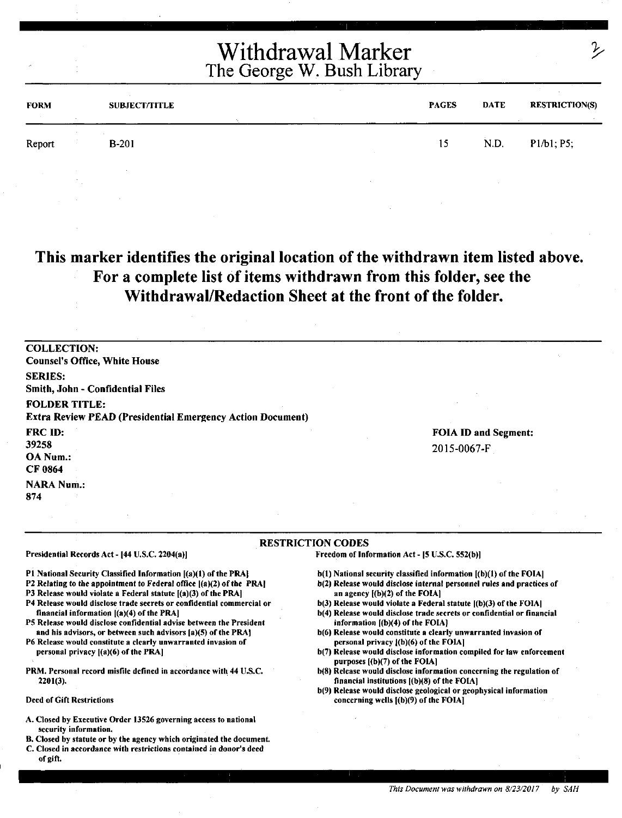| <b>FORM</b> | <b>SUBJECT/TITLE</b> | <b><i><u>ALCO</u></i></b> | <b>PAGES</b> | <b>DATE</b> | <b>RESTRICTION(S)</b> |
|-------------|----------------------|---------------------------|--------------|-------------|-----------------------|
| Report      | $B-201$              |                           | 15           | N.D.        | P1/b1, P5;            |
|             |                      |                           |              |             |                       |

### **This marker identifies the original location of the withdrawn item listed above. For a complete list of items withdrawn from this folder, see the Withdrawal/Redaction Sheet at the front of the folder.**

| <b>COLLECTION:</b>                                                |                             |
|-------------------------------------------------------------------|-----------------------------|
| <b>Counsel's Office, White House</b>                              |                             |
| <b>SERIES:</b>                                                    |                             |
| Smith, John - Confidential Files                                  |                             |
| <b>FOLDER TITLE:</b>                                              |                             |
| <b>Extra Review PEAD (Presidential Emergency Action Document)</b> |                             |
| FRC ID:                                                           | <b>FOIA ID and Segment:</b> |
| 39258                                                             | 2015-0067-F                 |
| OA Num.:                                                          |                             |
| CF 0864                                                           |                             |
| <b>NARA Num.:</b>                                                 |                             |
| 874                                                               |                             |

#### RESTRICTION CODES

Presidential Records Act - (44 U.S.C. 2204(a)]

Pl National Security Classified Information ((a)(l) of the PRAJ

P2 Relating to the appointment to Federal office ((a)(2) of the PRAJ

P3 Release would violate a Federal statute [(a)(3) of the PRA]

- P4 Release would disclose trade secrets or confidential commercial or financial information ((a)(4) of the PRA)
- PS Release would disclose confidential advise between the President and his advisors, or between such advisors (a)(S) of the PRA)
- P6 Release would constitute a clearly unwarranted invasion of personal privacy ((a)(6) of the PRA)
- PRM. Personal record misfile defined in accordance with 44 U.S.C. 2201(3).

Deed of Gift Restrictions

- A. Closed by Executive Order 13526 governing access to national security information,
- B. Closed by statute or by the agency which originated the document.
- C. Closed in accordance with restrictions contained in donor's deed of gift.

- b(l) National security classified information ((b)(l) of the FOIA)
- b(2) Release would disclose internal personnel rules and practices of an agency ((b)(2) of the FOIAI
- $b(3)$  Release would violate a Federal statute  $[(b)(3)$  of the FOIA]
- b(4) Release would disclose trade secrets or confidential or financial information [(b)(4) of the FOIA]
- b(6) Release would constitute a clearly unwarranted invasion of personal privacy l(b)(6) of the FOIA)
- b(7) Release would disclose information compiled for law enforcement purposes [(b)(7) of the FOIA]
- b(S) Release would disclose information concerning the regulation of financial institutions  $[(b)(8)$  of the FOIA]
- b(9) Release would disclose geological or geophysical information concerning wells [(b)(9) of the FOIA]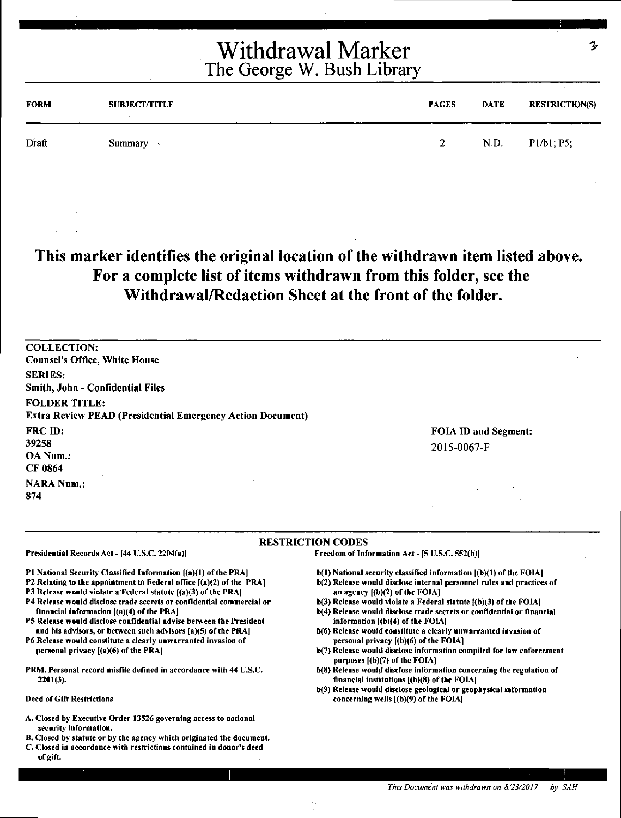| Withdrawal Marker          |  |
|----------------------------|--|
| The George W. Bush Library |  |

| <b>FORM</b> | <b>SUBJECT/TITLE</b> | <b>PAGES</b> | <b>DATE</b> | <b>RESTRICTION(S)</b> |
|-------------|----------------------|--------------|-------------|-----------------------|
| Draft       | Summary              | 2.           | N.D.        | P1/b1; P5;            |

**This marker identifies the original location of the withdrawn item listed above. For a complete list of items withdrawn from this folder, see the Withdrawal/Redaction Sheet at the front of the folder.** 

COLLECTION: Counsel's Office, White House SERIES: Smith, John • Confidential Files FOLDER TITLE: Extra Review PEAD (Presidential Emergency Action Document) FRCID: 39258 OA Num.: CF0864 **NARA Num.:** 874

FOIA ID and Segment: 2015-0067-F

#### RESTRICTION CODES

Presidential Records Act - (44 U.S.C. 2204(a))

Pl National Security Classilied Information [(a)(l) of the PRA)

- P2 Relating to the appointment to Federal office [(a)(2) of the PRA]
- PJ Release would violate a Federal statute ((a)(3) of the PRA)
- P4 Release would disclose trade secrets or confidential commercial or financial information ((a)(4) of the PRAJ
- PS Release would disclose confidential advise between the President and his advisors, or between such advisors (a)(S) of the PRA]
- P6 Release would constitute a clearly unwarranted invasion of personal privacy [(a)(6) of the PRAJ
- PRM. Personal record misfile defined in accordance with 44 U.S.C. 2201(3).

Deed of Gift Restrictions

- A. Closed by Executive Order 13S26 governing access to national security information.
- B. Closed by statute or by the agency which originated the document.
- C. Closed in accordance with restrictions contained in donor's deed of gift.

 $b(1)$  National security classified information  $[(b)(1)$  of the FOIA]

- b(2) Release would disclose internal personnel rules and practices of an agency  $[(b)(2)$  of the FOIA]
- b(3) Release would violate a Federal statute l(b)(3) of the FOIA)
- b(4) Release would disclose trade secrets or confidential or financial information ((b)(4) of the FOIA)
- b(6) Release would constitute a clearly unwarranted invasion of personal privacy ((b)(6) of the FOIAl
- b(7) Release would disclose information compiled for law enforcement purposes ((b)(7) of the FOIAl
- b(8) Release would disclose information concerning the regulation of financial institutions ((b)(8) of the FOIAJ
- b(9) Release would disclose geological or geophysical information concerning wells ((b)(9) of the FOIAJ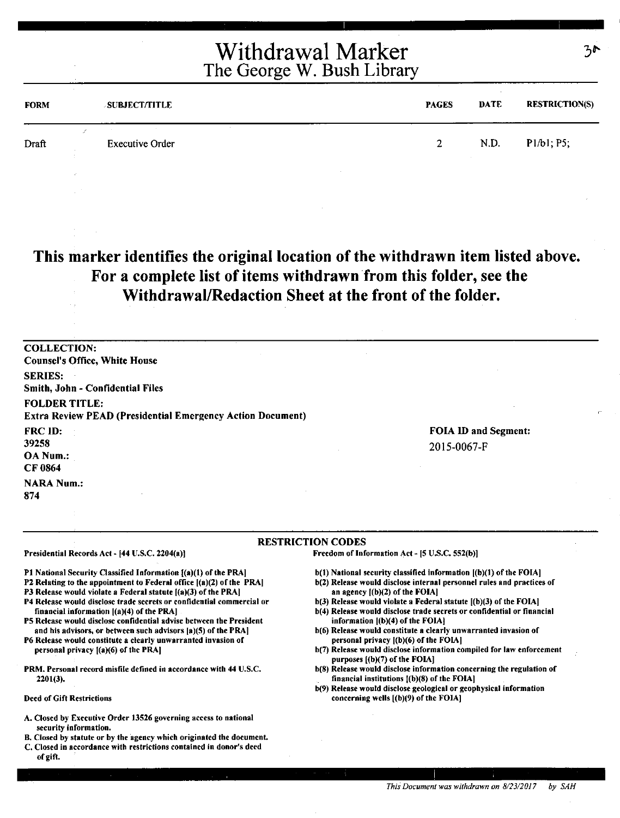| <b>FORM</b> | <b>SUBJECT/TITLE</b>   | <b>PAGES</b>   | <b>DATE</b> | <b>RESTRICTION(S)</b> |
|-------------|------------------------|----------------|-------------|-----------------------|
| Draft       | <b>Executive Order</b> | 2 <sup>1</sup> | N.D.        | P1/b1; P5;            |

**This marker identifies the original location of the withdrawn item listed above. For a complete list of items withdrawn from this folder, see the Withdrawal/Redaction Sheet at the front of the folder.** 

COLLECTION: Counsel's Office, White House SERIES: Smith, John - Confidential Files FOLDER TITLE: Extra Review PEAD (Presidential Emergency Action Document) FRC ID: 39258 OA Num.: CF0864 **NARA Num.:** 874 FOIA ID and Segment: 2015-0067-F

#### RESTRICTION CODES

Presidential Records Act - (44 U.S.C. 2204(a))

Pl National Security Classified Information ((a)(l) of the PRA)

- P2 Relating to the appointment to Federal office  $[(a)(2)$  of the PRA]
- P3 Release would violate a Federal statute [(a)(3) of the PRA]
- P4 Release would disclose trade secrets or confidential commercial or financial information ((a)(4) of the PRAJ
- PS Release would disclose confidential advise between the President and his advisors, or between such advisors (a)(S) of the PRA)

P6 Release would constitute a clearly unwarranted invasion of personal privacy [(a)(6) of the PRA]

PRM. Personal record misfile defined in accordance with 44 U.S.C. 2201(3).

Deed of Gift Restrictions

- A. Closed by Executive Order 13526 governing access to national security information.
- B. Closed by statute or by the agency which originated the document.
- C. Closed in accordance with restrictions contained in donor's deed of gift.

b(l) National security classified information ((b)(l) of the FOIA)

- b(2) Release would disclose internal personnel rules and practices of an agency  $[(b)(2)$  of the FOIA]
- b(3) Release would violate a Federal statute ((b)(3) of the FOIA)
- b(4) Release would disclose trade secrets or confidential or financial information ((b)(4) of the FOIA]
- b(6) Release would constitute a clearly unwarranted invasion of personal privacy ((b)(6) of the FOIA)
- b(7) Release would disclose information compiled for law enforcement purposes l(b)(7) of the FOIA]
- b(8) Release would disclose information concerning the regulation of financial institutions l(b)(S) of the FOIA)
- b(9) Release would disclose geological or geophysical information concerning wells ((b)(9) of the FOIA)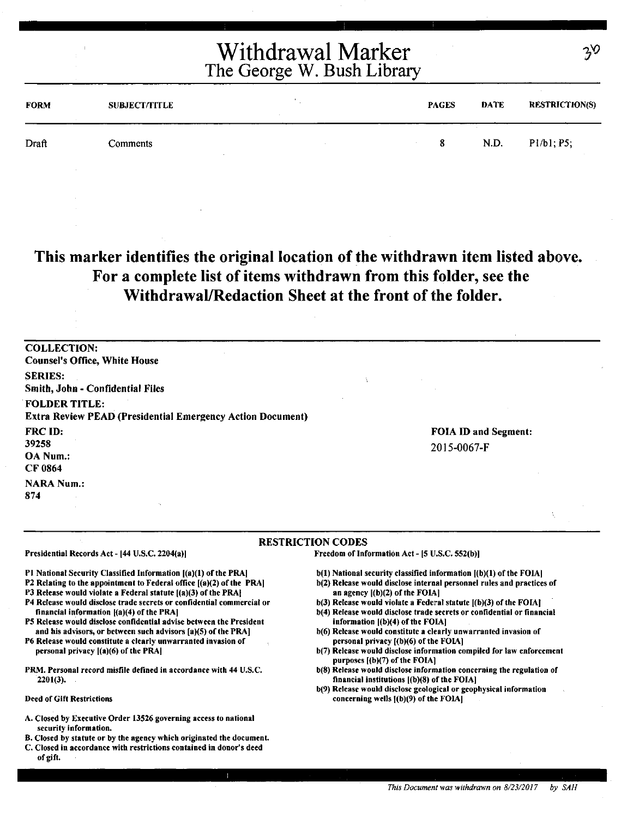| <b>FORM</b> | <b>SUBJECT/TITLE</b> | <b>PAGES</b> | DATE | <b>RESTRICTION(S)</b> |
|-------------|----------------------|--------------|------|-----------------------|
| Draft       | Comments             | 8.           | N.D. | P1/b1; P5;            |

### **This marker identifies the original location of the withdrawn item listed above. For a complete list of items withdrawn from this folder, see the Withdrawal/Redaction Sheet at the front of the folder.**

| <b>COLLECTION:</b>                                                                        |                                     |  |
|-------------------------------------------------------------------------------------------|-------------------------------------|--|
| <b>Counsel's Office, White House</b>                                                      |                                     |  |
| <b>SERIES:</b><br>Smith, John - Confidential Files                                        |                                     |  |
| <b>FOLDER TITLE:</b><br><b>Extra Review PEAD (Presidential Emergency Action Document)</b> |                                     |  |
| FRC ID:<br>39258<br>OA Num.:<br>CF 0864                                                   | FOIA ID and Segment:<br>2015-0067-F |  |
| <b>NARA Num.:</b><br>874                                                                  |                                     |  |

#### RESTRICTION CODES

Presidential Records Act - [44 U.S.C. 2204(a)]

Pl National Security Classified Information ((a)(l) of the PRA)

P2 Relating to the appointment to Federal office [(a)(2) of the PRAJ

P3 Release would violate a Federal statute ((a)(3) of the PRA]

- P4 Release would disclose trade secrets or confidential commercial or financial information ((a)(4) of the PRA)
- PS Release would disclose confidential advise between the President and his advisors, or between such advisors [a)(S) of the PRA]
- P6 Release would constitute a clearly unwarranted invasion of personal privacy ((a)(6) of the PRAJ
- PRM. Personal record misfile defined in accordance with 44 U.S.C. 2201(3).

#### Deed of Gift Restrictions

- A. Closed by Executive Order 13526 governing access to national security information.
- B. Closed by statute or by the agency which originated the document.
- C. Closed in accordance with restrictions contained in donor's deed of gift.

b(l) National security classified information ((b)(l) of the FOIA)

- b(2) Release would disclose internal personnel rules and praetices of an agency  $[(b)(2)$  of the FOIA]
- $b(3)$  Release would violate a Federal statute  $[(b)(3)$  of the FOIA]
- b(4) Release would disclose trade secrets or confidential or financial information ((b)(4) of the FOIAJ
- b(6) Release would constitute a clearly unwarranted invasion of personal privacy [(b)(6) of the FOIA]
- b(7) Release would disclose information compiled for law enforcement purposes [(b)(7) of the FOIA]
- b(8) Release would disclose information concerning the regulation of financial institutions l(b)(8) of the FOIA)
- b(9) Release would disclose geological or geophysical information concerning wells  $[(b)(9)$  of the FOIA]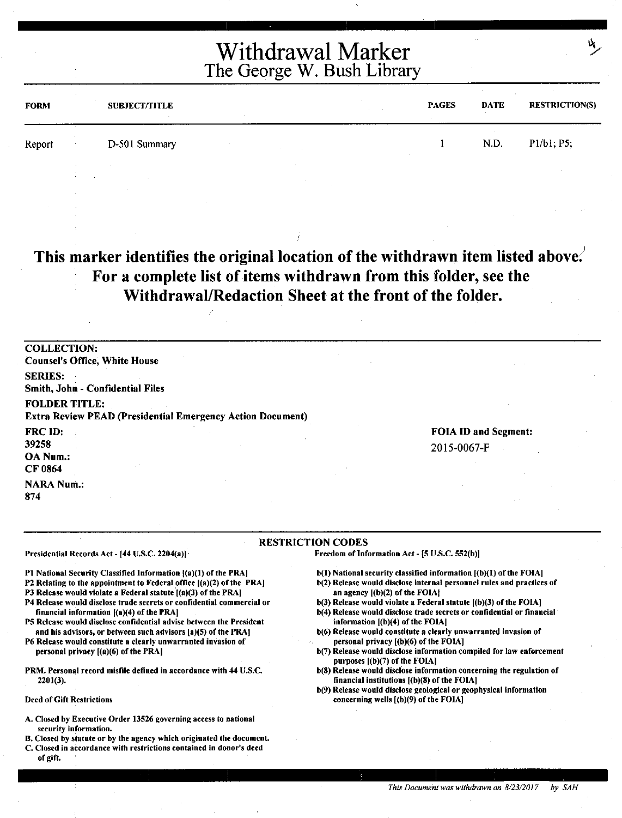| <b>FORM</b> |        | <b>SUBJECT/TITLE</b><br>$\sim$ |  | $\sim$ | <b>PAGES</b> | DATE | <b>RESTRICTION(S)</b> |
|-------------|--------|--------------------------------|--|--------|--------------|------|-----------------------|
| Report      | $\sim$ | D-501 Summary                  |  |        |              | N.D. | P1/b1, P5;            |
|             |        |                                |  |        |              |      |                       |

**This marker identifies the original location of the withdrawn item listed above:**  ' **For a complete list of items withdrawn from this folder, see the Withdrawal/Redaction Sheet at the front of the folder.** 

COLLECTION: Counsel's Office, White House SERIES: Smith, John - Confidential Files FOLDER TITLE: Extra Review PEAD (Presidential Emergency Action Document) FRCID: 39258 OANum.: CF0864 **NARA Num.:** 874 FOIA ID and Segment: 2015-0067-F

#### RESTRICTION CODES

Presidential Records Act - [44 U.S.C. 2204(a)]

- P1 National Security Classified Information  $(a)(1)$  of the PRA]
- P2 Relating to the appointment to Federal office ((a)(2) of the PRAJ P3 Release would violate a Federal statute  $[(a)(3)$  of the PRA]
- P4 Release would disclose trade secrets or confidential commercial or
- financial information  $[(a)(4)$  of the PRA]
- PS Release would disclose confidential advise between the President and his advisors, or between such advisors [a)(S) of the PRA)
- P6 Release would constitute a clearly unwarranted invasion of personal privacy  $[(a)(6)$  of the PRA]
- PRM. Personal record misfile defined in accordance with 44 U.S.C. 2201(3).

Deed of Gift Restrictions

- A. Closed by Executive Order 13526 governing access to national security information.
- B. Closed by statute or by the agency which originated the document.
- C. Closed in accordance with restrictions contained in donor's deed of gift.

 $b(1)$  National security classified information  $[(b)(1)$  of the FOIA]

- b(2) Release would disclose internal personnel rules and practices of an agency [(b)(2) of the FOIAJ
- b(3) Release would violate a Federal statute ((b)(3) of the FOIA)
- b(4) Release would disclose trade secrets or confidential or financial information [(b)(4) of the FOIAJ
- b(6) Release would constitute a clearly unwarranted invasion of personal privacy [(b)(6) of the FOIAJ
- b(7) Release would disclose information compiled for law enforcement purposes [(b)(7) of the FOIAJ
- b(S) Release would disclose information concerning the regulation of financial institutions [(b)(S) of the FOIA)
- b(9) Release would disclose geological or geophysical information concerning wells [(b)(9) of the FOIA)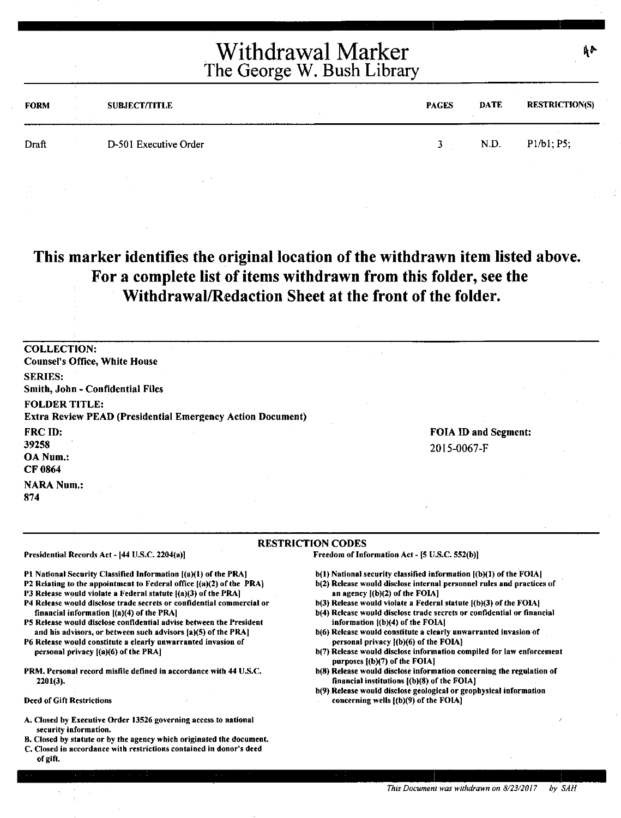| FORM  | <b>SUBJECT/TITLE</b>  | <b>PAGES</b> | <b>DATE</b> | <b>RESTRICTION(S)</b> |
|-------|-----------------------|--------------|-------------|-----------------------|
| Draft | D-501 Executive Order |              | N.D.        | P1/b1; P5;            |

### **This marker identifies the original location of the withdrawn item listed above. For a complete list of items withdrawn from this folder, see the Withdrawal/Redaction Sheet at the front of the folder.**

COLLECTION: Counsel's Office, White House SERIES: Smith, John - Confidential Files FOLDER TITLE: Extra Review PEAD {Presidential Emergency Action Document) FRCID: 39258 OANum.: CF0864 **NARA Num.:** 874 FOIA ID and Segment: 2015-0067-F

#### RESTRICTION CODES

Presidential Records Act - (44 U.S.C. 2204(a))

Pl National Security Classified Information ((a)(l) of the PRAJ

- P2 Relating to the appointment to Federal office [(a)(2) of the PRAJ
- P3 Release would violate a Federal statute  $[(a)(3)$  of the PRA]
- P4 Release would disclose trade secrets or confidential commercial or financial information [(a)(4) of the PRA)
- PS Release would disclose confidential advise between the President and his advisors, or between such advisors (a)(S) of the PRA]
- P6 Release would constitute a clearly unwarranted invasion of personal privacy [(a)(6) of the PRAJ
- PRM. Personal record misfile defined in accordance with 44 U.S.C. 2201(3).

Deed of Gift Restrictions

- A. Closed by Executive Order 13526 governing access to national security information.
- B. Closed by statute or by the agency which originated the document. C. Closed in accordance with restrictions contained in donor's deed of gift.

b(l) National security classified information [(b)(l) of the FOIA)

- b(2) Release would disclose internal personnel rules and practices of an agency  $[(b)(2)$  of the FOIA]
- b(3) Release would violate a Federal statute [(b)(3) of the FOIA)
- b(4) Release would disclose trade secrets or confidential or financial information ((b)(4) of the FOlA)
- b(6) Release would constitute a clearly unwarranted invasion of personal privacy [(b)(6) of the FOIA)
- b(7) Release would disclose information compiled for law enforcement purposes  $[(b)(7)$  of the FOIA $]$
- b(8) Release would disclose information concerning the regulation of financial institutions ((b)(8) of the FOIA)
- b(9) Release would disclose geological or geophysical information concerning wells [(b)(9) of the FOIA)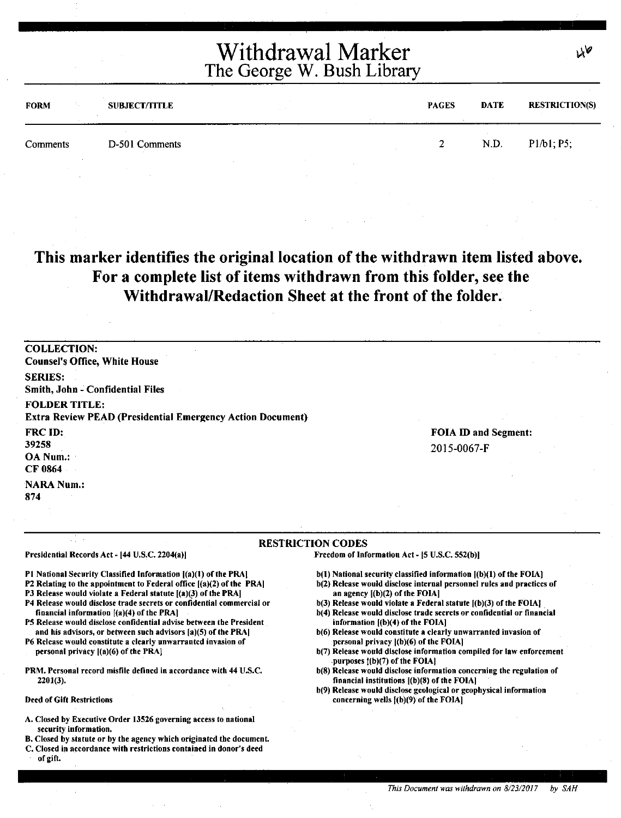| <b>FORM</b> | <b>SUBJECT/TITLE</b> | <b>PAGES</b> | <b>DATE</b> | <b>RESTRICTION(S)</b> |
|-------------|----------------------|--------------|-------------|-----------------------|
| Comments    | D-501 Comments       | - 7 -        | N.D.        | P1/b1; P5;            |

### **This marker identifies the original location of the withdrawn item listed above. For a complete list of items withdrawn from this folder, see the Withdrawal/Redaction Sheet at the front of the folder.**

COLLECTION: Counsel's Office, White House SERIES: Smith, John - Confidential Files FOLDER TITLE: Extra Review PEAD (Presidential Emergency Action Document) FRCID: 39258 OANum.: CF0864 **NARA Num.:** FOIA ID and Segment: 2015-0067-F

874

#### RESTRICTION CODES

Presidential Records Act - [44 U.S.C. 2204(a)]

financial information [(a)(4) of the PRA)

personal privacy [(a)(6) of the PRA]

2201(3).

Deed of Gift Restrictions

b(t) National security classified information ((b)(l) of the FOIA)

- b(2) Release would disclose internal personnel rules and practices of an agency [(b)(2) of the FOIA]
- $b(3)$  Release would violate a Federal statute  $(6)(3)$  of the FOIA]

Freedom of Information Act - (S U.S.C. SS2(b)]

- b(4) Release would disclose trade secrets or confidential or financial information ((b)(4) of the FOIA)
- b(6) Release would constitute a clearly unwarranted invasion of personal privacy l(b)(6) of the FOIAJ
- b(7) Release would disclose information compiled for law enforcement purposes ((b)(7) of the FOIA]
- b(S) Release would disclose information concerning the regulation of financial institutions ((b)(8) of the FOIA)
- b(9) Release would disclose geological or geophysical information concerning wells l(b)(9) of the FOIA)

#### A. Closed by Executive Order 13526 governing access to national security information.

Pl National Security Classified Information ((a)(t) of the PRAJ P2 Relating to the appointment to Federal office [(a)(2) of the PRA) P3 Release would violate a Federal statute  $[(a)(3)$  of the PRA] P4 Release would disclose trade secrets or confidential commercial or

PS Release would disclose confidential advise between the President and his advisors, or between such advisors (a)(S) of the PRAJ P6 Release would constitute a clearly unwarranted invasion of

PRM. Personal record misfile defined in accordance with 44 U.S.C.

B. Closed by statute or by the agency which originated the document.

C. Closed in accordance with restrictions contained in donor's deed of gift.

۷۵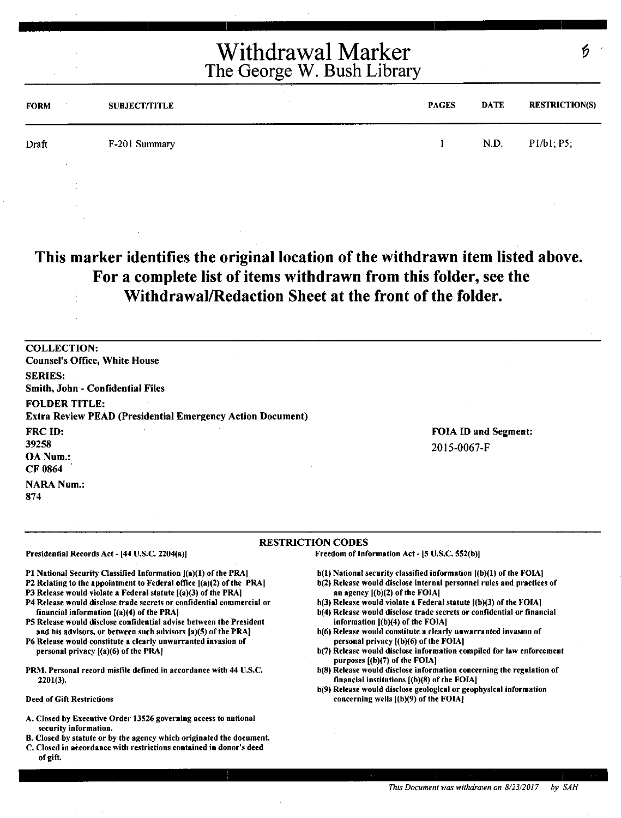| <b>FORM</b> | <b>SUBJECT/TITLE</b> | <b>PAGES</b> | DATE | <b>RESTRICTION(S)</b> |
|-------------|----------------------|--------------|------|-----------------------|
| Draft       | F-201 Summary        |              | N.D. | P1/b1; P5;            |
|             |                      |              |      |                       |

### **This marker identifies the original location of the withdrawn item listed above. For a complete list of items withdrawn from this folder, see the Withdrawal/Redaction Sheet at the front of the folder.**

COLLECTION: Counsel's Office, White House SERIES: Smith, John - Confidential Files FOLDER TITLE: Extra Review PEAD {Presidential Emergency Action Document) FRCID: 39258 OANum.: CF0864 **NARA Num.:** 874 FOIA ID and Segment: 20 I 5-0067-F

#### RESTRICTION CODES

Presidential Records Act - (44 U.S.C. 2204(a)]

Pl National Security Classified Information f(a)(l) of the PRA)

- P2 Relating to the appointment to Federal office ((a)(2) of the PRA)
- P3 Release would violate a Federal statute  $[(a)(3)$  of the PRA]
- P4 Release would disclose trade secrets or confidential commercial or financial information [(a)(4) of the PRA]
- PS Release would disclose confidential advise between the President and his advisors, or between such advisors (a)(S) of the PRA]
- P6 Release would constitute a clearly unwarranted invasion of personal privacy ((a)(6) of the PRAJ
- PRM. Personal record misfile defined in accordance with 44 U.S.C. 2201(3).

Deed of Gift Restrictions

- A. Closed by Executive Order 13526 governing access to national security information.
- B. Closed by statute or by the agency which originated the document.
- C. Closed in accordance with restrictions contained in donor's deed of gift.

b(l) National security classified information ((b)(l) of the FOIAJ

- b(2) Release would disclose internal personnel rules and practices of an agency ((b)(2) of the FOIAI
- $b(3)$  Release would violate a Federal statute  $(6)(3)$  of the FOIA)
- b(4) Release would disclose trade secrets or confidential or financial information ((b)(4) of the FOIAI
- b(6) Release would constitute a clearly unwarranted invasion of personal privacy ((b)(6) of the FOIAJ
- b(7) Release would disclose information compiled for law enforcement purposes ((b)(7) of the FOIA)
- b(8) Release would disclose information concerning the regulation of financial institutions l(b)(8) of the FOIA)
- b(9) Release would disclose geological or geophysical information concerning wells ((b)(9) of the FOIAJ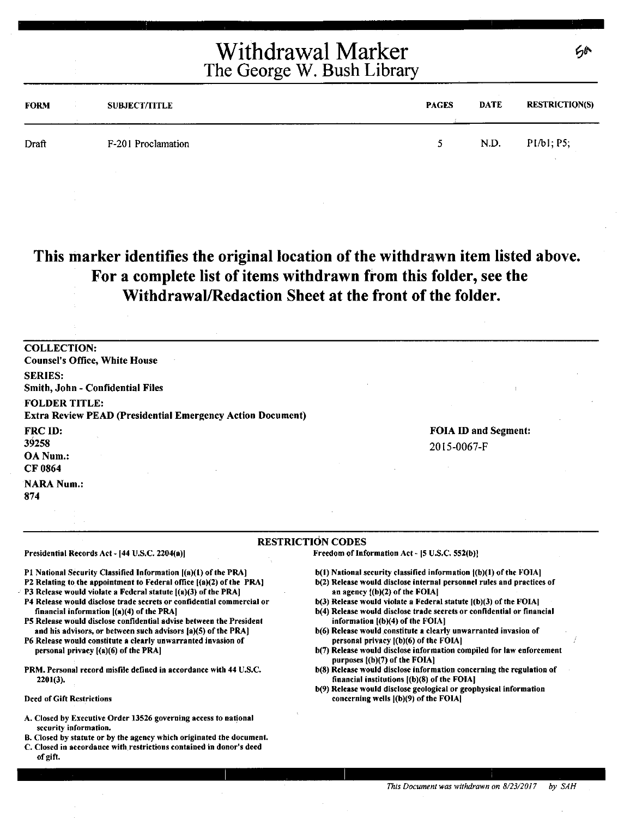| <b>FORM</b> | <b>SUBJECT/TITLE</b> | <b>PAGES</b> | <b>DATE</b> | <b>RESTRICTION(S)</b> |
|-------------|----------------------|--------------|-------------|-----------------------|
| Draft       | F-201 Proclamation   | ↖            | N.D.        | P1/b1; P5;            |

## **This marker identifies the original location of the withdrawn item listed above. For a complete list of items withdrawn from this folder, see the Withdrawal/Redaction Sheet at the front of the folder.**

COLLECTION: Counsel's Office, White House SERIES: Smith, John - Confidential Files FOLDER TITLE: Extra Review PEAD (Presidential Emergency Action Document) FRCID: 39258 OANum.: CF 0864 NARA Num.: 874 FOIA ID and Segment: 2015-0067-F

#### RESTRICTION CODES

Presidential Records Act - [44 U.S.C. 2204(a)]

Pl National Security Classified Information ((a)(l) of the PRA] P2 Relating to the appointment to Federal office ((a)(2) of the PRA)

- P3 Release would violate a Federal statute  $[(a)(3)$  of the PRA]
- P4 Release would disclose trade secrets or confidential commercial or financial information ((a)(4) of the PRA)
- PS Release would disclose confidential advise between the President and his advisors, or between such advisors fa)(S) of the PRA]

P6 Release would constitute a clearly unwarranted invasion of personal privacy  $[(a)(6)$  of the PRA $]$ 

PRM. Personal record misfile defined in accordance with 44 U.S.C. 2201(3).

Deed of Gift Restrictions

- A. Closed by Executive Order 13526 governing access to natjonal security information,
- B. Closed by statute or by the agency which originated the document.
- C. Closed in accordance with restrictions contained in donor's deed of gift.

 $b(1)$  National security classified information  $f(b)(1)$  of the FOIA]

- b(2) Release would disclose internal personnel rules and practices of an agency ((b)(2) of the FOIAI
- $b(3)$  Release would violate a Federal statute  $(6)(3)$  of the FOIA]
- b(4) Release would disclose trade secrets or confidential or financial information ((b)(4) of the FOIAJ
- b(6) Release would constitute a clearly unwarranted invasion of personal privacy ((b)(6) of the FOIAI
- b(7) Release would disclose information compiled for law enforcement purposes ((b)(7) of the FOIAI
- b(8) Release would disclose information concerning the regulation of financial institutions f(b)(8) of the FOIAJ
- b(9) Release would disclose geological or geophysical information concerning wells ((b)(9) of the FOIA)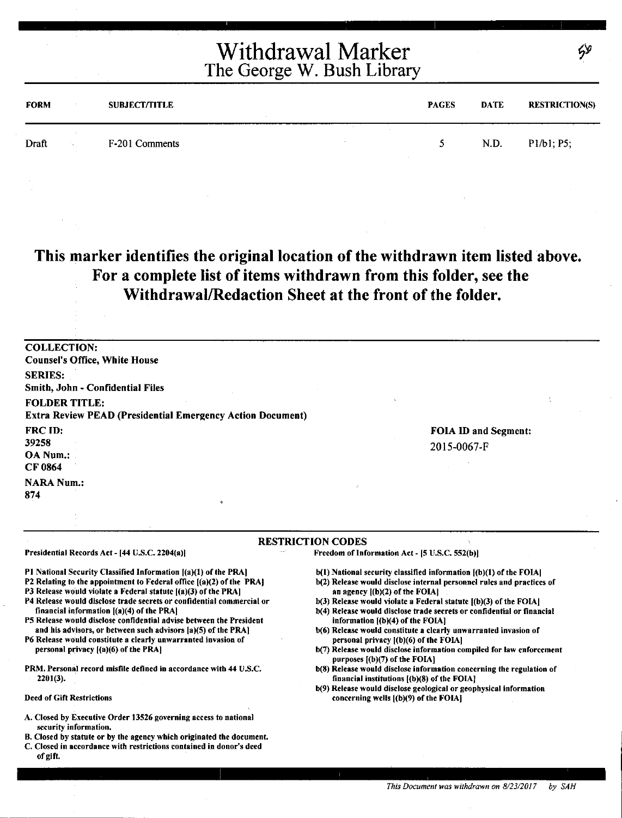| <b>FORM</b> |     | <b>SUBJECT/TITLE</b> | <b>PAGES</b> | <b>DATE</b> | <b>RESTRICTION(S)</b> |
|-------------|-----|----------------------|--------------|-------------|-----------------------|
| Draft       | 10. | F-201 Comments       | -51          | N.D.        | P1/b1; P5;            |

**This marker identifies the original location of the withdrawn item listed above. For a complete list of items withdrawn from this folder, see the Withdrawal/Redaction Sheet at the front of the folder.** 

COLLECTION: Counsel's Office, White House SERIES: Smith, John - Confidential Files FOLDER TITLE: Extra Review PEAD (Presidential Emergency Action Document) FRC ID: 39258 OA Num.: CF0864 **NARA Num.:** 874 FOIA ID and Segment: 2015-0067-F

#### RESTRICTION CODES

Presidential Records Act - [44 U.S.C. 2204(a))

Pl National Security Classified Information ((a)(l) of the PRA)

P2 Relating to the appointment to Federal office [(a)(2) of the PRAJ

P3 Release would violate a Federal statute  $[(a)(3)$  of the PRA]

- P4 Release would disclose trade secrets or confidential commercial or financial information ((a)(4) of the PRA)
- PS Release would disclose confidential advise between the President and his advisors, or between such advisors (a)(S) of the PRA)

P6 Release would constitute a clearly unwarranted invasion of personal privacy [(a)(6) of the PRA)

PRM. Personal record misfile defined in accordance with 44 U.S.C. 2201(3).

Deed of Gift Restrictions

- A. Closed by Executive Order 13526 governing access to national security information.
- B. Closed by statute or by the agency which originated the document.
- C. Closed in accordance with restrictions contained in donor's deed of gift.

b(l) National security classified information [(b)(l) of the FOIA)

- b(2) Release would disclose internal personnel rules and practices of an agency  $|(b)(2)$  of the FOIA]
- $b(3)$  Release would violate a Federal statute  $[(b)(3)$  of the FOIA]
- b(4) Release would disclose trade secrets or confidential or financial information [(b)(4) of the FOIA]
- b(6) Release would constitute a clearly unwarranted invasion of personal privacy  $[(b)(6)$  of the FOIA $]$
- b(7) Release would disclose information compiled for law enforcement purposes [(b)(7) of the FOIA]
- b(S) Release would disclose information concerning the regulation of financial institutions ((b)(8) of the FOIAJ
- b(9) Release would disclose geological or geophysical information concerning wells [(b)(9) of the FOIA]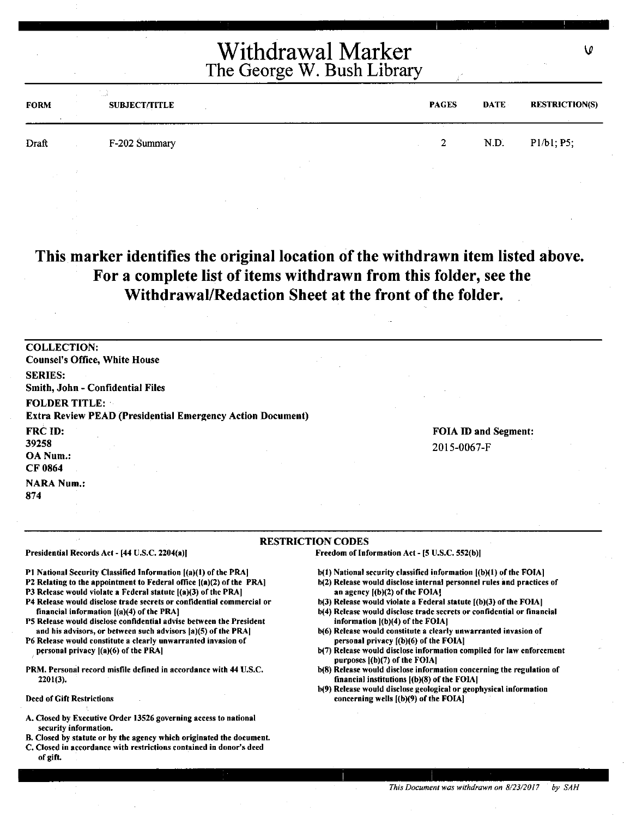| <b>FORM</b> | <b>Country</b><br><b>SUBJECT/TITLE</b> | <b>PAGES</b> | <b>DATE</b> | <b>RESTRICTION(S)</b> |
|-------------|----------------------------------------|--------------|-------------|-----------------------|
| Draft       | F-202 Summary                          | 2.<br>∼      | N.D.        | P1/b1; P5;            |
|             |                                        |              |             |                       |

### **This marker identifies the original location of the withdrawn item listed above. For a complete list of items withdrawn from this folder, see the Withdrawal/Redaction Sheet at the front of the folder.**

COLLECTION: Counsel's Office, White House SERIES: Smith, John - Confidential Files FOLDER TITLE: Extra Review PEAD (Presidential Emergency Action Document) FRC<sub>ID:</sub> 39258 OANum.: CF0864 **NARA Num.:** 874 FOIA ID and Segment: 2015-0067-F

#### RESTRICTION CODES

Presidential Records Act - [44 U.S.C. 2204(a)]

Pl National Security Classified Information [(a)(I) of the PRA)

- P2 Relating to the appointment to Federal office  $[(a)(2)$  of the PRA]
- PJ Release would violate a Federal statute [(a)(3) of the PRA]
- P4 Release would disclose trade secrets or confidential commercial or financial information [(a)(4) of the PRA]
- PS Release would disclose confidential advise between the President and his advisors, or between such advisors (a)(S) of the PRA)

P6 Release would constitute a clearly unwarranted invasion of personal privacy ((a)(6) of the PRA)

PRM. Personal record misfile defined in accordance with 44 U.S.C. 2201(3).

Deed of Gift Restrictions

- A. Closed by Executive Order 13526 governing access to national security information.
- B. Closed by statute or by the agency which originated the document.
- C. Closed in accordance with restrictions contained in donor's deed of gift.

b(1) National security classified information [(b)(1) of the FOIA]

Freedom of Information Act - (5 U.S.C. 552(b)J

- b(2) Release would disclose internal personnel rules and practices of an agency  $(1)(b)(2)$  of the FOIA]
- $b(3)$  Release would violate a Federal statute  $[(b)(3)$  of the FOIA]
- b(4) Release would disclose trade secrets or confidential or financial information ((b)(4) of the FOIAJ
- b(6) Release would constitute a clearly unwarranted invasion of personal privacy [(b)(6) of the FOIA)
- b(7) Release would disclose information compiled for law enforcement purposes  $[(b)(7)$  of the FOIA]
- b(8) Release would disclose information concerning the regulation of financial institutions ((b)(8) of the FOIA)
- b(9) Release would disclose geological or geophysical information concerning wells [(b)(9) of the FOIAJ

۱0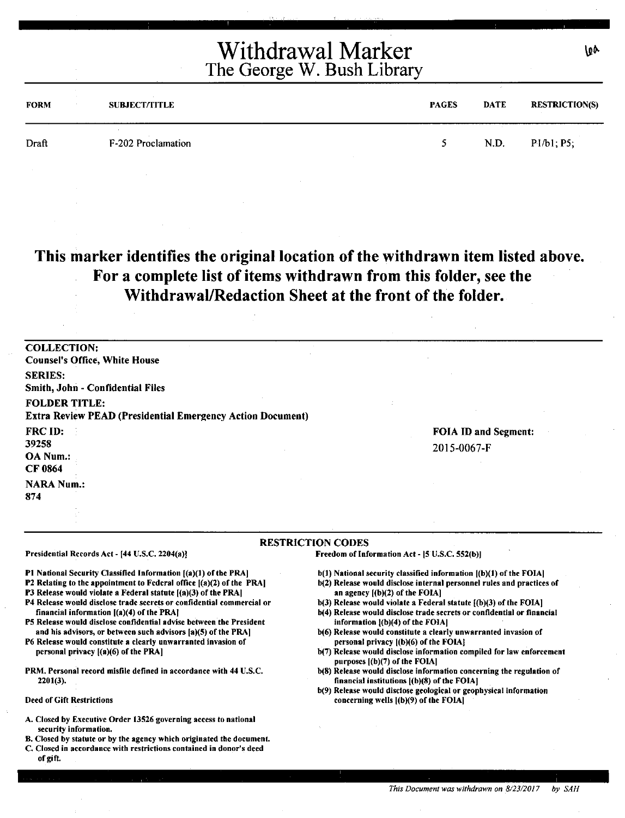| <b>FORM</b> | <b>SUBJECT/TITLE</b> | <b>PAGES</b> | <b>DATE</b> | <b>RESTRICTION(S)</b> |
|-------------|----------------------|--------------|-------------|-----------------------|
| Draft       | F-202 Proclamation   |              | N.D.        | P1/b1; P5;            |

## **This marker identifies the original location of the withdrawn item listed above. For a complete list of items withdrawn from this folder, see the Withdrawal/Redaction Sheet at the front of the folder.**

| <b>COLLECTION:</b>                                                |                      |
|-------------------------------------------------------------------|----------------------|
| <b>Counsel's Office, White House</b>                              |                      |
| <b>SERIES:</b>                                                    |                      |
| Smith, John - Confidential Files                                  |                      |
| <b>FOLDER TITLE:</b>                                              |                      |
| <b>Extra Review PEAD (Presidential Emergency Action Document)</b> |                      |
| <b>FRC ID:</b>                                                    | FOIA ID and Segment: |
| 39258                                                             | 2015-0067-F          |
| OA Num.:                                                          |                      |
| CF 0864                                                           |                      |
| <b>NARA Num.:</b>                                                 |                      |
| 874                                                               |                      |
|                                                                   |                      |
|                                                                   |                      |

#### RESTRICTION CODES

Presidential Records Act - [44 U.S.C. 2204(a)]

Pt National Security Classified Information ((a)(l) of the PRA)

- P2 Relating to the appointment to Federal office ((a)(2) of the PRA)
- P3 Release would violate a Federal statute [(a)(3) of the PRA)
- P4 Release would disclose trade secrets or confidential commercial or financial information ((a)(4) of the PRAJ
- P5 Release would disclose confidential advise between the President and his advisors, or between such advisors (a)(S) of the PRA]
- P6 Release would constitute a clearly unwarranted invasion of personal privacy ((a)(6) of the PRA)
- PRM. Personal record misfile defined in accordance with 44 U.S.C. 2201(3).

Deed of Gift Restrictions

- A. Closed by Executive Order 13526 governing access to national security information,
- B. Closed by statute or by the agency which originated the document.
- C. Closed in accordance with restrictions contained in donor's deed of gift.

b(l) National security classified information ((b)(l) of the FOIA)

Freedom of Information Act - [5 U.S.C. 552(b)]

- b(2) Release would disclose internal personnel rules and practices of an agency ((b)(2) of the FOIA]
- $b(3)$  Release would violate a Federal statute  $(6)(3)$  of the FOIA]
- b(4) Release would disclose trade secrets or confidential or financial information  $($ b $)(4)$  of the FOIA $|$
- b(6) Release would constitute a clearly unwarranted invasion of personal privacy ((b)(6) of the FOIAJ
- b(7) Release would disclose information compiled for law enforcement purposes  $[(b)(7)$  of the FOIA $]$
- b(8) Release would disclose information concerning the regulation of financial institutions ((b)(8) of the FOIA)
- b(9) Release would disclose geological or geophysical information concerning wells ((b)(9) of the FOIA)

١œ